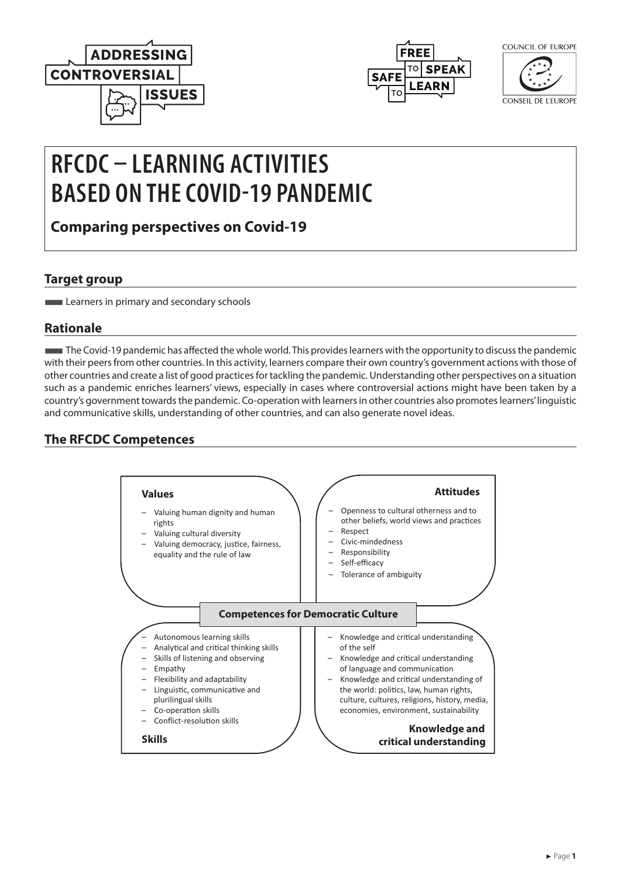



COUNCIL OF FUROPE

CONSEIL DE L'EUROPE

# **RFCDC – LEARNING ACTIVITIES BASED ON THE COVID-19 PANDEMIC**

**Comparing perspectives on Covid-19**

## **Target group**

**Learners in primary and secondary schools** 

## **Rationale**

■The Covid-19 pandemic has affected the whole world. This provides learners with the opportunity to discuss the pandemic with their peers from other countries. In this activity, learners compare their own country's government actions with those of other countries and create a list of good practices for tackling the pandemic. Understanding other perspectives on a situation such as a pandemic enriches learners' views, especially in cases where controversial actions might have been taken by a country's government towards the pandemic. Co-operation with learners in other countries also promotes learners' linguistic and communicative skills, understanding of other countries, and can also generate novel ideas.

## **The RFCDC Competences**

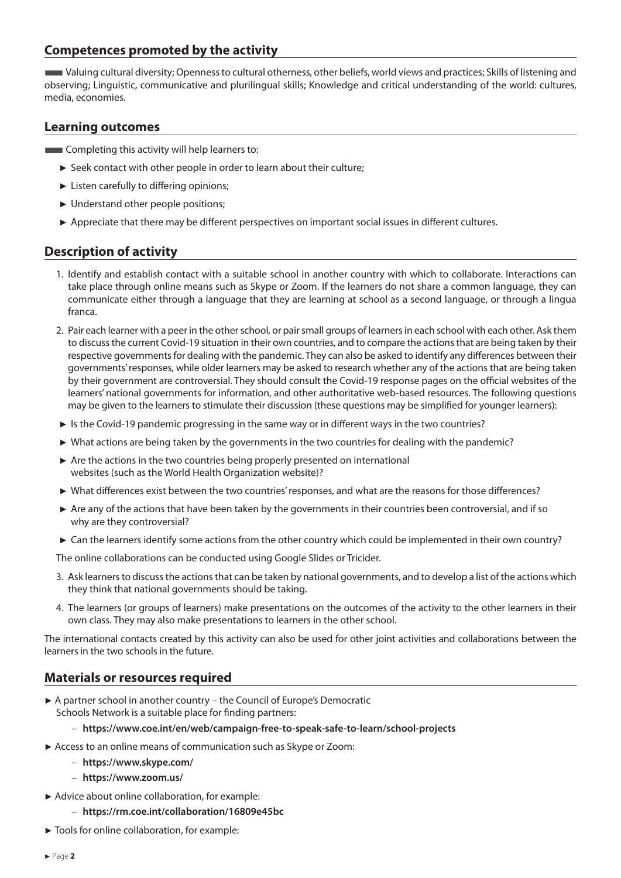### **Competences promoted by the activity**

■Valuing cultural diversity; Openness to cultural otherness, other beliefs, world views and practices; Skills of listening and observing; Linguistic, communicative and plurilingual skills; Knowledge and critical understanding of the world: cultures, media, economies.

#### **Learning outcomes**

**EXECOMPLER** Completing this activity will help learners to:

- ► Seek contact with other people in order to learn about their culture;
- ► Listen carefully to differing opinions;
- ► Understand other people positions;
- ► Appreciate that there may be different perspectives on important social issues in different cultures.

### **Description of activity**

- 1. Identify and establish contact with a suitable school in another country with which to collaborate. Interactions can take place through online means such as Skype or Zoom. If the learners do not share a common language, they can communicate either through a language that they are learning at school as a second language, or through a lingua franca.
- 2. Pair each learner with a peer in the other school, or pair small groups of learners in each school with each other. Ask them to discuss the current Covid-19 situation in their own countries, and to compare the actions that are being taken by their respective governments for dealing with the pandemic. They can also be asked to identify any differences between their governments' responses, while older learners may be asked to research whether any of the actions that are being taken by their government are controversial. They should consult the Covid-19 response pages on the official websites of the learners' national governments for information, and other authoritative web-based resources. The following questions may be given to the learners to stimulate their discussion (these questions may be simplified for younger learners):
- ► Is the Covid-19 pandemic progressing in the same way or in different ways in the two countries?
- ► What actions are being taken by the governments in the two countries for dealing with the pandemic?
- ► Are the actions in the two countries being properly presented on international websites (such as the World Health Organization website)?
- ► What differences exist between the two countries' responses, and what are the reasons for those differences?
- ► Are any of the actions that have been taken by the governments in their countries been controversial, and if so why are they controversial?
- ► Can the learners identify some actions from the other country which could be implemented in their own country?

The online collaborations can be conducted using Google Slides or Tricider.

- 3. Ask learners to discuss the actions that can be taken by national governments, and to develop a list of the actions which they think that national governments should be taking.
- 4. The learners (or groups of learners) make presentations on the outcomes of the activity to the other learners in their own class. They may also make presentations to learners in the other school.

The international contacts created by this activity can also be used for other joint activities and collaborations between the learners in the two schools in the future.

#### **Materials or resources required**

► A partner school in another country – the Council of Europe's Democratic Schools Network is a suitable place for finding partners:

#### – **<https://www.coe.int/en/web/campaign-free-to-speak-safe-to-learn/school-projects>**

- ► Access to an online means of communication such as Skype or Zoom:
	- **<https://www.skype.com/>**
	- **<https://www.zoom.us/>**
- ► Advice about online collaboration, for example:
	- **<https://rm.coe.int/collaboration/16809e45bc>**
- ► Tools for online collaboration, for example: